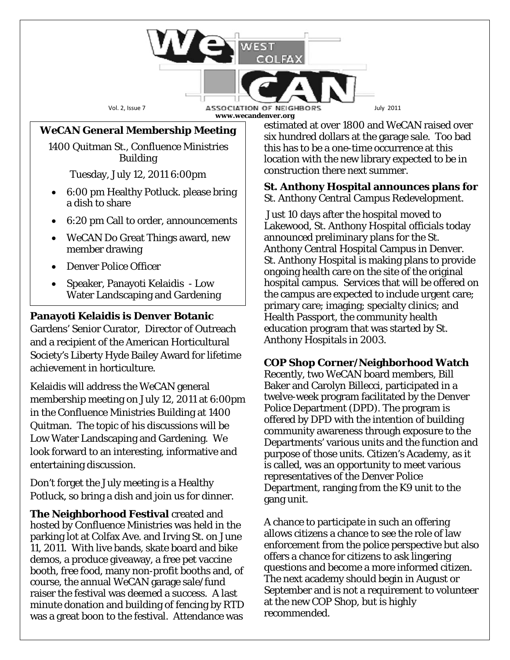Vol. 2, Issue 7 **ASSOCIATION OF NEIGHBORS** July 2011 **www.wecandenver.org**

#### *WeCAN* **General Membership Meeting**

1400 Quitman St., Confluence Ministries Building

Tuesday, July 12, 2011 6:00pm

- 6:00 pm Healthy Potluck. please bring a dish to share
- 6:20 pm Call to order, announcements
- WeCAN Do Great Things award, new member drawing
- Denver Police Officer
- Speaker, Panayoti Kelaidis Low Water Landscaping and Gardening

## **Panayoti Kelaidis is Denver Botanic**

Gardens' Senior Curator, Director of Outreach and a recipient of the American Horticultural Society's Liberty Hyde Bailey Award for lifetime achievement in horticulture.

Kelaidis will address the *WeCAN* general membership meeting on July 12, 2011 at 6:00pm in the Confluence Ministries Building at 1400 Quitman. The topic of his discussions will be Low Water Landscaping and Gardening. We look forward to an interesting, informative and entertaining discussion.

Don't forget the July meeting is a Healthy Potluck, so bring a dish and join us for dinner.

**The Neighborhood Festival** created and hosted by Confluence Ministries was held in the parking lot at Colfax Ave. and Irving St. on June 11, 2011. With live bands, skate board and bike demos, a produce giveaway, a free pet vaccine booth, free food, many non-profit booths and, of course, the annual *WeCAN* garage sale/fund raiser the festival was deemed a success. A last minute donation and building of fencing by RTD was a great boon to the festival. Attendance was

estimated at over 1800 and *WeCAN* raised over six hundred dollars at the garage sale. Too bad this has to be a one-time occurrence at this location with the new library expected to be in construction there next summer.

**St. Anthony Hospital announces plans for**  St. Anthony Central Campus Redevelopment.

Just 10 days after the hospital moved to Lakewood, St. Anthony Hospital officials today announced preliminary plans for the St. Anthony Central Hospital Campus in Denver. St. Anthony Hospital is making plans to provide ongoing health care on the site of the original hospital campus. Services that will be offered on the campus are expected to include urgent care; primary care; imaging; specialty clinics; and Health Passport, the community health education program that was started by St. Anthony Hospitals in 2003.

## **COP Shop Corner/Neighborhood Watch**

Recently, two WeCAN board members, Bill Baker and Carolyn Billecci, participated in a twelve-week program facilitated by the Denver Police Department (DPD). The program is offered by DPD with the intention of building community awareness through exposure to the Departments' various units and the function and purpose of those units. Citizen's Academy, as it is called, was an opportunity to meet various representatives of the Denver Police Department, ranging from the K9 unit to the gang unit.

A chance to participate in such an offering allows citizens a chance to see the role of law enforcement from the police perspective but also offers a chance for citizens to ask lingering questions and become a more informed citizen. The next academy should begin in August or September and is not a requirement to volunteer at the new COP Shop, but is highly recommended.